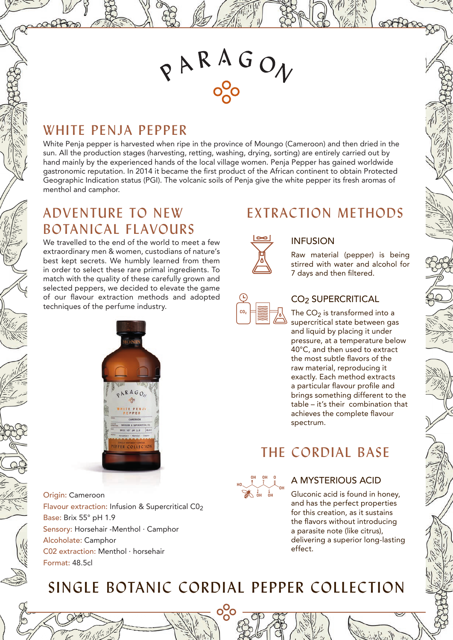# $R$ ARAGON

### WHITE PENJA PEPPER

White Penja pepper is harvested when ripe in the province of Moungo (Cameroon) and then dried in the sun. All the production stages (harvesting, retting, washing, drying, sorting) are entirely carried out by hand mainly by the experienced hands of the local village women. Penja Pepper has gained worldwide gastronomic reputation. In 2014 it became the first product of the African continent to obtain Protected Geographic Indication status (PGI). The volcanic soils of Penja give the white pepper its fresh aromas of menthol and camphor.

### ADVENTURE TO NEW BOTANICAL FLAVOURS

We travelled to the end of the world to meet a few extraordinary men & women, custodians of nature's best kept secrets. We humbly learned from them in order to select these rare primal ingredients. To match with the quality of these carefully grown and selected peppers, we decided to elevate the game of our flavour extraction methods and adopted techniques of the perfume industry.



Origin: Cameroon Flavour extraction: Infusion & Supercritical C02 Base: Brix 55° pH 1.9 Sensory: Horsehair -Menthol · Camphor Alcoholate: Camphor C02 extraction: Menthol · horsehair Format: 48.5cl

## EXTRACTION METHODS



**CO2**

### INFUSION

Raw material (pepper) is being stirred with water and alcohol for 7 days and then filtered.

### CO2 SUPERCRITICAL

The  $CO<sub>2</sub>$  is transformed into a supercritical state between gas and liquid by placing it under pressure, at a temperature below 40°C, and then used to extract the most subtle flavors of the raw material, reproducing it exactly. Each method extracts a particular flavour profile and brings something different to the table – it's their combination that achieves the complete flavour spectrum.

# THE CORDIAL BASE



### A MYSTERIOUS ACID

Gluconic acid is found in honey, and has the perfect properties for this creation, as it sustains the flavors without introducing a parasite note (like citrus), delivering a superior long-lasting effect.

# SINGLE BOTANIC CORDIAL PEPPER COLLECTION